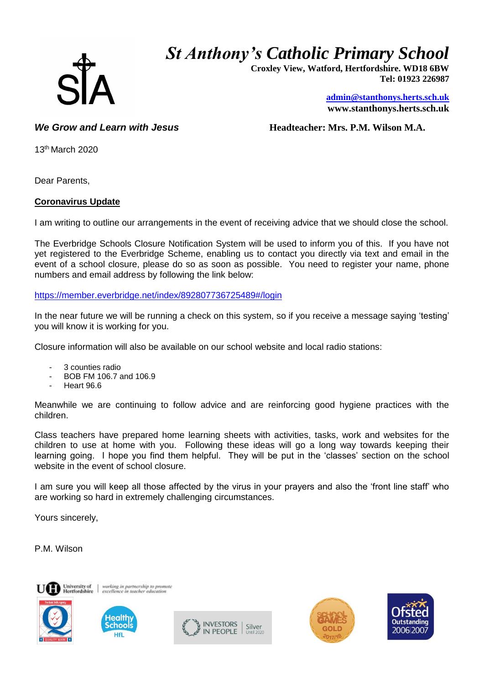

## *St Anthony's Catholic Primary School*

 **Croxley View, Watford, Hertfordshire. WD18 6BW Tel: 01923 226987** 

> **[admin@stanthonys.herts.sch.uk](mailto:admin.stanthonys@thegrid.org.uk) www.stanthonys.herts.sch.uk**

*We Grow and Learn with Jesus* **<b>***Headteacher: Mrs. P.M. Wilson M.A.* 

13th March 2020

Dear Parents,

## **Coronavirus Update**

I am writing to outline our arrangements in the event of receiving advice that we should close the school.

The Everbridge Schools Closure Notification System will be used to inform you of this. If you have not yet registered to the Everbridge Scheme, enabling us to contact you directly via text and email in the event of a school closure, please do so as soon as possible. You need to register your name, phone numbers and email address by following the link below:

<https://member.everbridge.net/index/892807736725489#/login>

In the near future we will be running a check on this system, so if you receive a message saying 'testing' you will know it is working for you.

Closure information will also be available on our school website and local radio stations:

- 3 counties radio
- BOB FM 106.7 and 106.9
- Heart 96.6

Meanwhile we are continuing to follow advice and are reinforcing good hygiene practices with the children.

Class teachers have prepared home learning sheets with activities, tasks, work and websites for the children to use at home with you. Following these ideas will go a long way towards keeping their learning going. I hope you find them helpful. They will be put in the 'classes' section on the school website in the event of school closure.

I am sure you will keep all those affected by the virus in your prayers and also the 'front line staff' who are working so hard in extremely challenging circumstances.

Yours sincerely,

P.M. Wilson





working in partnership to prom<br>excellence in teacher education